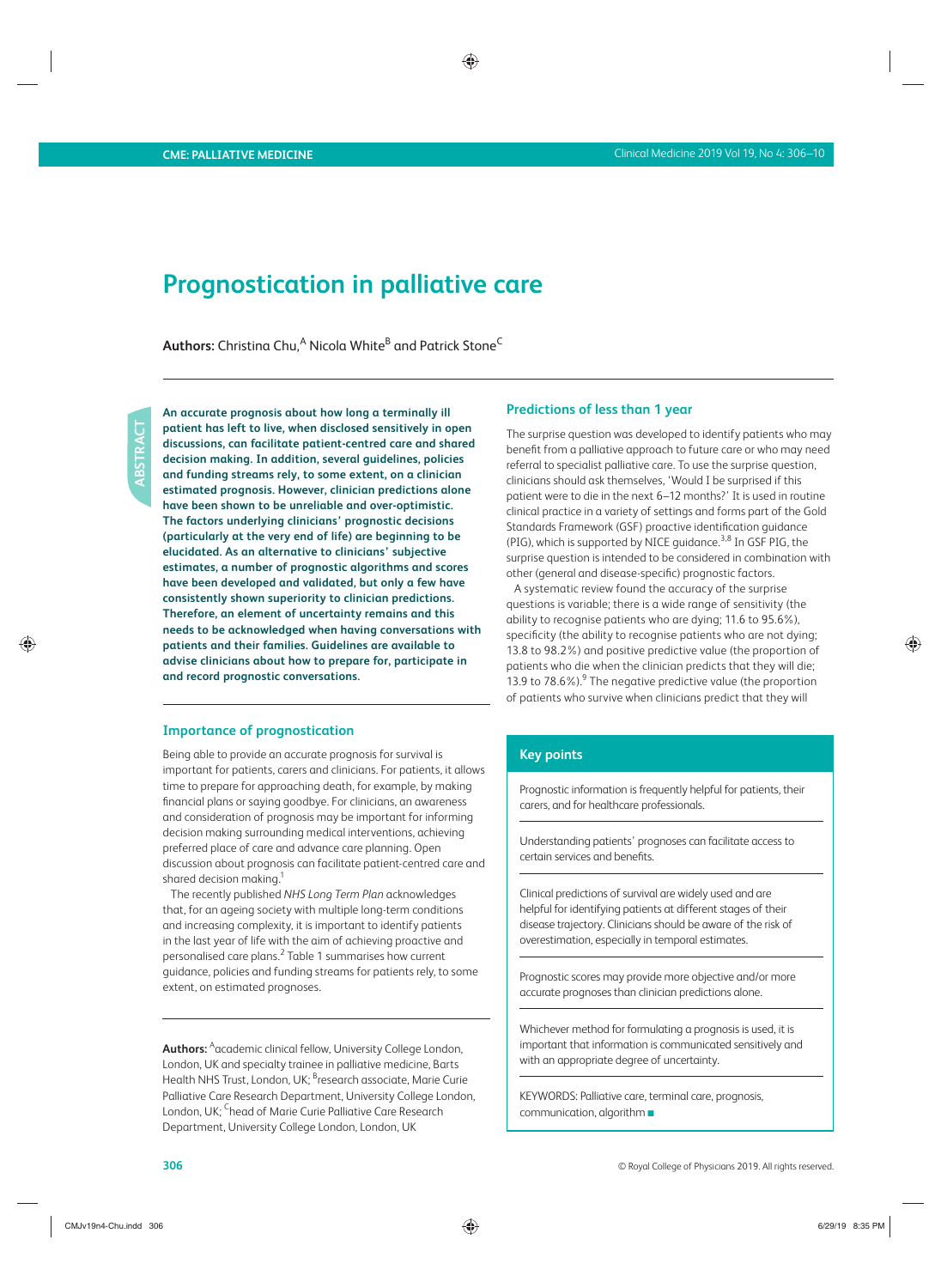### **Prognostication in palliative care**

**Authors:** Christina Chu,<sup>A</sup> Nicola White<sup>B</sup> and Patrick Stone<sup>C</sup>

**ABSTRACT BSTRAC**   **An accurate prognosis about how long a terminally ill patient has left to live, when disclosed sensitively in open discussions, can facilitate patient-centred care and shared decision making. In addition, several guidelines, policies and funding streams rely, to some extent, on a clinician estimated prognosis. However, clinician predictions alone have been shown to be unreliable and over-optimistic. The factors underlying clinicians' prognostic decisions (particularly at the very end of life) are beginning to be elucidated. As an alternative to clinicians' subjective estimates, a number of prognostic algorithms and scores have been developed and validated, but only a few have consistently shown superiority to clinician predictions. Therefore, an element of uncertainty remains and this needs to be acknowledged when having conversations with patients and their families. Guidelines are available to advise clinicians about how to prepare for, participate in and record prognostic conversations.** 

#### **Importance of prognostication**

 Being able to provide an accurate prognosis for survival is important for patients, carers and clinicians. For patients, it allows time to prepare for approaching death, for example, by making financial plans or saying goodbye. For clinicians, an awareness and consideration of prognosis may be important for informing decision making surrounding medical interventions, achieving preferred place of care and advance care planning. Open discussion about prognosis can facilitate patient-centred care and shared decision making.<sup>1</sup>

 The recently published *NHS Long Term Plan* acknowledges that, for an ageing society with multiple long-term conditions and increasing complexity, it is important to identify patients in the last year of life with the aim of achieving proactive and personalised care plans.<sup>2</sup> Table 1 summarises how current guidance, policies and funding streams for patients rely, to some extent, on estimated prognoses.

**Authors:** <sup>A</sup>academic clinical fellow, University College London, London, UK and specialty trainee in palliative medicine, Barts Health NHS Trust, London, UK; <sup>B</sup>research associate, Marie Curie Palliative Care Research Department, University College London, London, UK; <sup>C</sup>head of Marie Curie Palliative Care Research Department, University College London, London, UK

#### **Predictions of less than 1 year**

 The surprise question was developed to identify patients who may benefit from a palliative approach to future care or who may need referral to specialist palliative care. To use the surprise question, clinicians should ask themselves, 'Would I be surprised if this patient were to die in the next 6–12 months?' It is used in routine clinical practice in a variety of settings and forms part of the Gold Standards Framework (GSF) proactive identification guidance (PIG), which is supported by NICE guidance. 3,8 In GSF PIG, the surprise question is intended to be considered in combination with other (general and disease-specific) prognostic factors.

 A systematic review found the accuracy of the surprise questions is variable; there is a wide range of sensitivity (the ability to recognise patients who are dying; 11.6 to 95.6%), specificity (the ability to recognise patients who are not dying; 13.8 to 98.2%) and positive predictive value (the proportion of patients who die when the clinician predicts that they will die; 13.9 to 78.6%).<sup>9</sup> The negative predictive value (the proportion of patients who survive when clinicians predict that they will

#### **Key points**

 Prognostic information is frequently helpful for patients, their carers, and for healthcare professionals.

 Understanding patients' prognoses can facilitate access to certain services and benefits.

 Clinical predictions of survival are widely used and are helpful for identifying patients at different stages of their disease trajectory. Clinicians should be aware of the risk of overestimation, especially in temporal estimates.

 Prognostic scores may provide more objective and/or more accurate prognoses than clinician predictions alone.

 Whichever method for formulating a prognosis is used, it is important that information is communicated sensitively and with an appropriate degree of uncertainty.

 KEYWORDS: Palliative care, terminal care, prognosis, communication, algorithm ■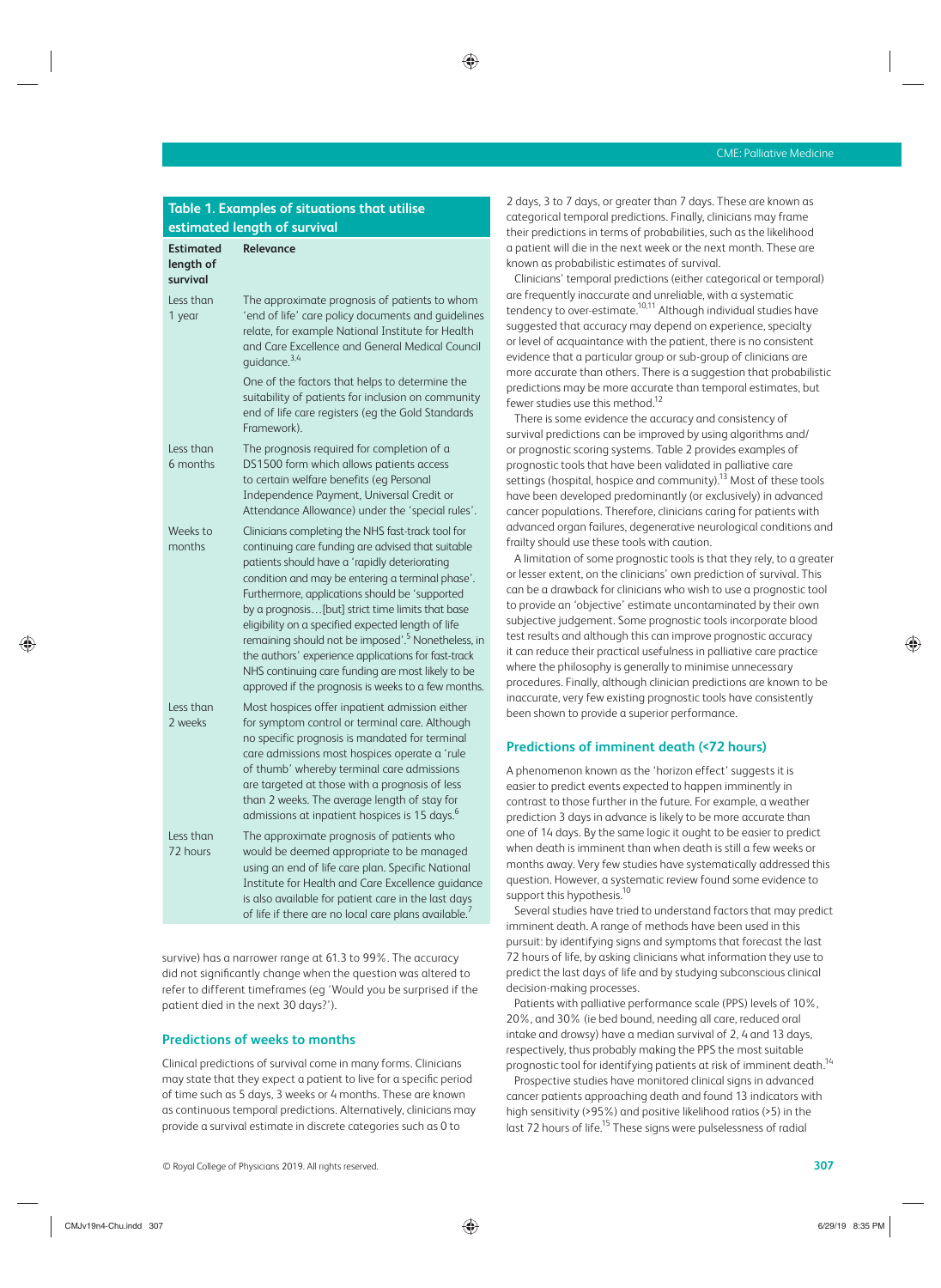#### **Table 1. Examples of situations that utilise estimated length of survival**

| <b>Estimated</b><br>length of<br>survival | Relevance                                                                                                                                                                                                                                                                                                                                                                                                                                                                                                                                                                                                    |
|-------------------------------------------|--------------------------------------------------------------------------------------------------------------------------------------------------------------------------------------------------------------------------------------------------------------------------------------------------------------------------------------------------------------------------------------------------------------------------------------------------------------------------------------------------------------------------------------------------------------------------------------------------------------|
| Less than<br>1 year                       | The approximate prognosis of patients to whom<br>'end of life' care policy documents and quidelines<br>relate, for example National Institute for Health<br>and Care Excellence and General Medical Council<br>quidance. <sup>3,4</sup>                                                                                                                                                                                                                                                                                                                                                                      |
|                                           | One of the factors that helps to determine the<br>suitability of patients for inclusion on community<br>end of life care registers (eg the Gold Standards<br>Framework).                                                                                                                                                                                                                                                                                                                                                                                                                                     |
| Less than<br>6 months                     | The prognosis required for completion of a<br>DS1500 form which allows patients access<br>to certain welfare benefits (eq Personal<br>Independence Payment, Universal Credit or<br>Attendance Allowance) under the 'special rules'.                                                                                                                                                                                                                                                                                                                                                                          |
| Weeks to<br>months                        | Clinicians completing the NHS fast-track tool for<br>continuing care funding are advised that suitable<br>patients should have a 'rapidly deteriorating<br>condition and may be entering a terminal phase'.<br>Furthermore, applications should be 'supported<br>by a prognosis[but] strict time limits that base<br>eligibility on a specified expected length of life<br>remaining should not be imposed'. <sup>5</sup> Nonetheless, in<br>the authors' experience applications for fast-track<br>NHS continuing care funding are most likely to be<br>approved if the prognosis is weeks to a few months. |
| Less than<br>2 weeks                      | Most hospices offer inpatient admission either<br>for symptom control or terminal care. Although<br>no specific prognosis is mandated for terminal<br>care admissions most hospices operate a 'rule<br>of thumb' whereby terminal care admissions<br>are targeted at those with a prognosis of less<br>than 2 weeks. The average length of stay for<br>admissions at inpatient hospices is 15 days. <sup>6</sup>                                                                                                                                                                                             |
| Less than<br>72 hours                     | The approximate prognosis of patients who<br>would be deemed appropriate to be managed<br>using an end of life care plan. Specific National<br>Institute for Health and Care Excellence guidance<br>is also available for patient care in the last days<br>of life if there are no local care plans available. <sup>7</sup>                                                                                                                                                                                                                                                                                  |

survive) has a narrower range at 61.3 to 99%. The accuracy did not significantly change when the question was altered to refer to different timeframes (eg 'Would you be surprised if the patient died in the next 30 days?').

#### **Predictions of weeks to months**

 Clinical predictions of survival come in many forms. Clinicians may state that they expect a patient to live for a specific period of time such as 5 days, 3 weeks or 4 months. These are known as continuous temporal predictions. Alternatively, clinicians may provide a survival estimate in discrete categories such as 0 to

2 days, 3 to 7 days, or greater than 7 days. These are known as categorical temporal predictions. Finally, clinicians may frame their predictions in terms of probabilities, such as the likelihood a patient will die in the next week or the next month. These are known as probabilistic estimates of survival.

 Clinicians' temporal predictions (either categorical or temporal) are frequently inaccurate and unreliable, with a systematic tendency to over-estimate.<sup>10,11</sup> Although individual studies have suggested that accuracy may depend on experience, specialty or level of acquaintance with the patient, there is no consistent evidence that a particular group or sub-group of clinicians are more accurate than others. There is a suggestion that probabilistic predictions may be more accurate than temporal estimates, but fewer studies use this method.<sup>12</sup>

 There is some evidence the accuracy and consistency of survival predictions can be improved by using algorithms and/ or prognostic scoring systems. Table 2 provides examples of prognostic tools that have been validated in palliative care settings (hospital, hospice and community).<sup>13</sup> Most of these tools have been developed predominantly (or exclusively) in advanced cancer populations. Therefore, clinicians caring for patients with advanced organ failures, degenerative neurological conditions and frailty should use these tools with caution.

 A limitation of some prognostic tools is that they rely, to a greater or lesser extent, on the clinicians' own prediction of survival. This can be a drawback for clinicians who wish to use a prognostic tool to provide an 'objective' estimate uncontaminated by their own subjective judgement. Some prognostic tools incorporate blood test results and although this can improve prognostic accuracy it can reduce their practical usefulness in palliative care practice where the philosophy is generally to minimise unnecessary procedures. Finally, although clinician predictions are known to be inaccurate, very few existing prognostic tools have consistently been shown to provide a superior performance.

#### **Predictions of imminent death (<72 hours)**

 A phenomenon known as the 'horizon effect' suggests it is easier to predict events expected to happen imminently in contrast to those further in the future. For example, a weather prediction 3 days in advance is likely to be more accurate than one of 14 days. By the same logic it ought to be easier to predict when death is imminent than when death is still a few weeks or months away. Very few studies have systematically addressed this question. However, a systematic review found some evidence to support this hypothesis.<sup>10</sup>

 Several studies have tried to understand factors that may predict imminent death. A range of methods have been used in this pursuit: by identifying signs and symptoms that forecast the last 72 hours of life, by asking clinicians what information they use to predict the last days of life and by studying subconscious clinical decision-making processes.

 Patients with palliative performance scale (PPS) levels of 10%, 20%, and 30% (ie bed bound, needing all care, reduced oral intake and drowsy) have a median survival of 2, 4 and 13 days, respectively, thus probably making the PPS the most suitable prognostic tool for identifying patients at risk of imminent death.<sup>14</sup>

 Prospective studies have monitored clinical signs in advanced cancer patients approaching death and found 13 indicators with high sensitivity (>95%) and positive likelihood ratios (>5) in the last 72 hours of life.<sup>15</sup> These signs were pulselessness of radial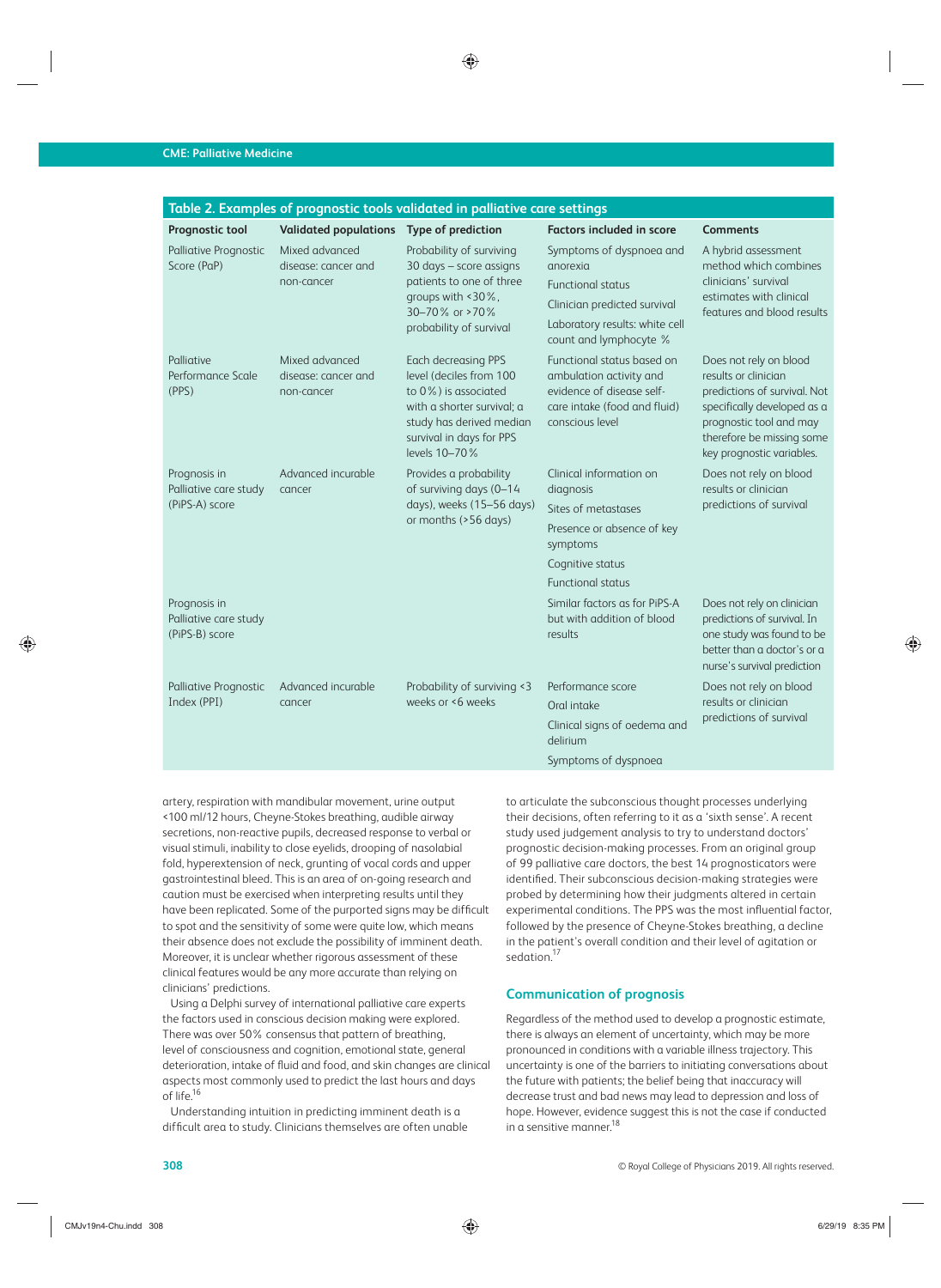| Table 2. Examples of prognostic tools validated in palliative care settings |                                                     |                                                                                                                                                                                      |                                                                                                                                                              |                                                                                                                                                                                                    |  |  |
|-----------------------------------------------------------------------------|-----------------------------------------------------|--------------------------------------------------------------------------------------------------------------------------------------------------------------------------------------|--------------------------------------------------------------------------------------------------------------------------------------------------------------|----------------------------------------------------------------------------------------------------------------------------------------------------------------------------------------------------|--|--|
| <b>Prognostic tool</b>                                                      | <b>Validated populations</b>                        | Type of prediction                                                                                                                                                                   | <b>Factors included in score</b>                                                                                                                             | <b>Comments</b>                                                                                                                                                                                    |  |  |
| <b>Palliative Prognostic</b><br>Score (PaP)                                 | Mixed advanced<br>disease: cancer and<br>non-cancer | Probability of surviving<br>30 days - score assigns<br>patients to one of three<br>groups with <30%,<br>30-70% or >70%<br>probability of survival                                    | Symptoms of dyspnoea and<br>anorexia<br><b>Functional status</b><br>Clinician predicted survival<br>Laboratory results: white cell<br>count and lymphocyte % | A hybrid assessment<br>method which combines<br>clinicians' survival<br>estimates with clinical<br>features and blood results                                                                      |  |  |
| Palliative<br>Performance Scale<br>(PPS)                                    | Mixed advanced<br>disease: cancer and<br>non-cancer | <b>Each decreasing PPS</b><br>level (deciles from 100<br>to 0%) is associated<br>with a shorter survival; a<br>study has derived median<br>survival in days for PPS<br>levels 10-70% | Functional status based on<br>ambulation activity and<br>evidence of disease self-<br>care intake (food and fluid)<br>conscious level                        | Does not rely on blood<br>results or clinician<br>predictions of survival. Not<br>specifically developed as a<br>prognostic tool and may<br>therefore be missing some<br>key prognostic variables. |  |  |
| Prognosis in<br>Palliative care study<br>(PiPS-A) score                     | Advanced incurable<br>cancer                        | Provides a probability<br>of surviving days (0-14<br>days), weeks (15-56 days)<br>or months (>56 days)                                                                               | Clinical information on<br>diagnosis<br>Sites of metastases<br>Presence or absence of key<br>symptoms<br>Cognitive status<br><b>Functional status</b>        | Does not rely on blood<br>results or clinician<br>predictions of survival                                                                                                                          |  |  |
| Prognosis in<br>Palliative care study<br>(PiPS-B) score                     |                                                     |                                                                                                                                                                                      | Similar factors as for PiPS-A<br>but with addition of blood<br>results                                                                                       | Does not rely on clinician<br>predictions of survival. In<br>one study was found to be<br>better than a doctor's or a<br>nurse's survival prediction                                               |  |  |
| <b>Palliative Prognostic</b><br>Index (PPI)                                 | Advanced incurable<br>cancer                        | Probability of surviving <3<br>weeks or <6 weeks                                                                                                                                     | Performance score<br>Oral intake<br>Clinical signs of oedema and<br>delirium<br>Symptoms of dyspnoea                                                         | Does not rely on blood<br>results or clinician<br>predictions of survival                                                                                                                          |  |  |

artery, respiration with mandibular movement, urine output < 100 ml/12 hours, Cheyne-Stokes breathing, audible airway secretions, non-reactive pupils, decreased response to verbal or visual stimuli, inability to close eyelids, drooping of nasolabial fold, hyperextension of neck, grunting of vocal cords and upper gastrointestinal bleed. This is an area of on-going research and caution must be exercised when interpreting results until they have been replicated. Some of the purported signs may be difficult to spot and the sensitivity of some were quite low, which means their absence does not exclude the possibility of imminent death. Moreover, it is unclear whether rigorous assessment of these clinical features would be any more accurate than relying on clinicians' predictions.

 Using a Delphi survey of international palliative care experts the factors used in conscious decision making were explored. There was over 50% consensus that pattern of breathing, level of consciousness and cognition, emotional state, general deterioration, intake of fluid and food, and skin changes are clinical aspects most commonly used to predict the last hours and days of life. 16

 Understanding intuition in predicting imminent death is a difficult area to study. Clinicians themselves are often unable to articulate the subconscious thought processes underlying their decisions, often referring to it as a 'sixth sense'. A recent study used judgement analysis to try to understand doctors' prognostic decision-making processes. From an original group of 99 palliative care doctors, the best 14 prognosticators were identified. Their subconscious decision-making strategies were probed by determining how their judgments altered in certain experimental conditions. The PPS was the most influential factor, followed by the presence of Cheyne-Stokes breathing, a decline in the patient's overall condition and their level of agitation or sedation.<sup>17</sup>

#### **Communication of prognosis**

 Regardless of the method used to develop a prognostic estimate, there is always an element of uncertainty, which may be more pronounced in conditions with a variable illness trajectory. This uncertainty is one of the barriers to initiating conversations about the future with patients; the belief being that inaccuracy will decrease trust and bad news may lead to depression and loss of hope. However, evidence suggest this is not the case if conducted in a sensitive manner.<sup>18</sup>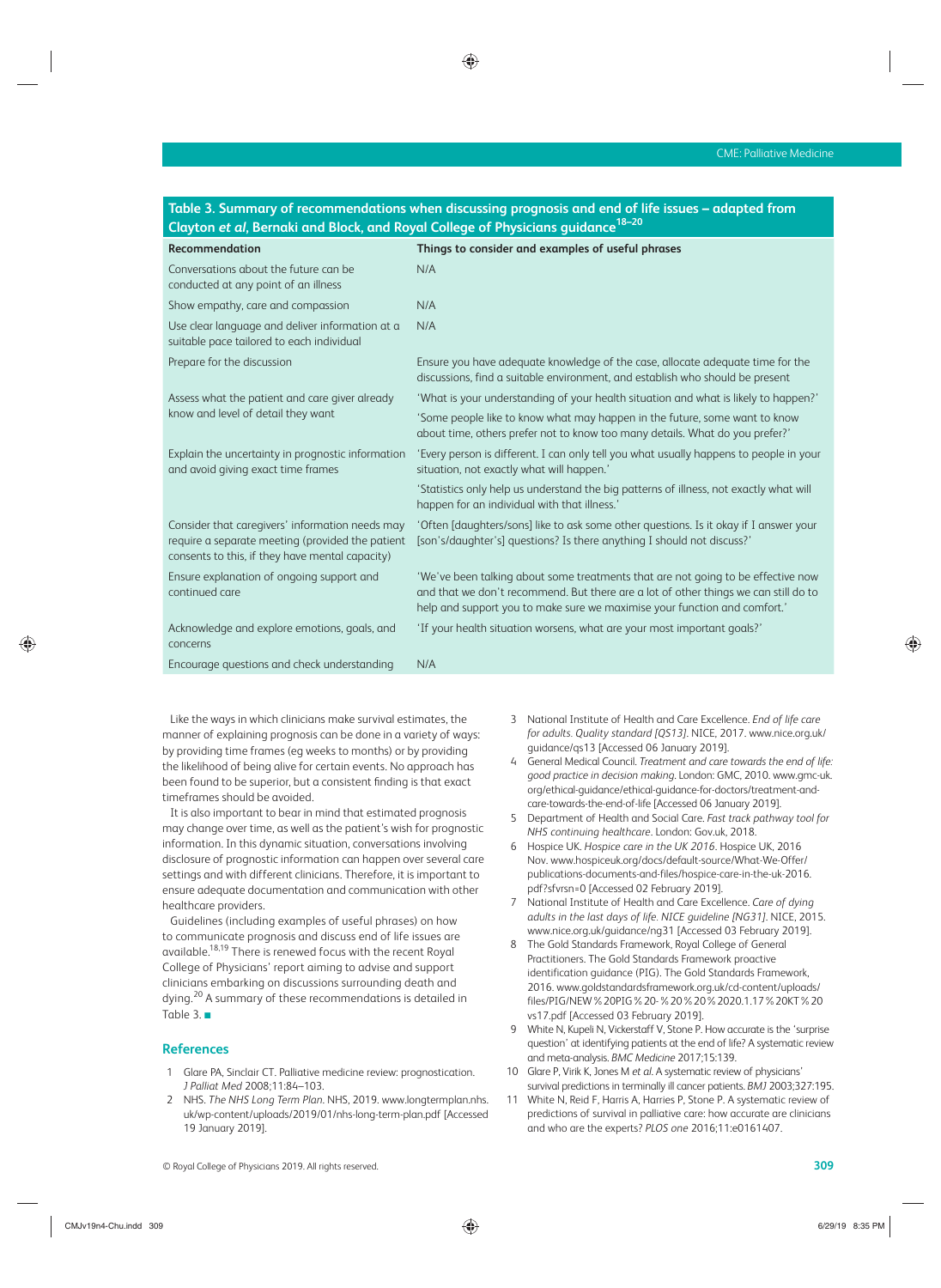| Recommendation                                                                                                                                         | Things to consider and examples of useful phrases                                                                                                                                                                                                    |  |
|--------------------------------------------------------------------------------------------------------------------------------------------------------|------------------------------------------------------------------------------------------------------------------------------------------------------------------------------------------------------------------------------------------------------|--|
| Conversations about the future can be<br>conducted at any point of an illness                                                                          | N/A                                                                                                                                                                                                                                                  |  |
| Show empathy, care and compassion                                                                                                                      | N/A                                                                                                                                                                                                                                                  |  |
| Use clear language and deliver information at a<br>suitable pace tailored to each individual                                                           | N/A                                                                                                                                                                                                                                                  |  |
| Prepare for the discussion                                                                                                                             | Ensure you have adequate knowledge of the case, allocate adequate time for the<br>discussions, find a suitable environment, and establish who should be present                                                                                      |  |
| Assess what the patient and care giver already                                                                                                         | 'What is your understanding of your health situation and what is likely to happen?'                                                                                                                                                                  |  |
| know and level of detail they want                                                                                                                     | 'Some people like to know what may happen in the future, some want to know<br>about time, others prefer not to know too many details. What do you prefer?'                                                                                           |  |
| Explain the uncertainty in prognostic information<br>and avoid giving exact time frames                                                                | 'Every person is different. I can only tell you what usually happens to people in your<br>situation, not exactly what will happen.'                                                                                                                  |  |
|                                                                                                                                                        | 'Statistics only help us understand the big patterns of illness, not exactly what will<br>happen for an individual with that illness.'                                                                                                               |  |
| Consider that caregivers' information needs may<br>require a separate meeting (provided the patient<br>consents to this, if they have mental capacity) | 'Often [daughters/sons] like to ask some other questions. Is it okay if I answer your<br>[son's/daughter's] questions? Is there anything I should not discuss?'                                                                                      |  |
| Ensure explanation of ongoing support and<br>continued care                                                                                            | 'We've been talking about some treatments that are not going to be effective now<br>and that we don't recommend. But there are a lot of other things we can still do to<br>help and support you to make sure we maximise your function and comfort.' |  |
| Acknowledge and explore emotions, goals, and<br>concerns                                                                                               | 'If your health situation worsens, what are your most important goals?'                                                                                                                                                                              |  |
| Encourage questions and check understanding                                                                                                            | N/A                                                                                                                                                                                                                                                  |  |

#### **Table 3. Summary of recommendations when discussing prognosis and end of life issues – adapted from Clayton** *et al***, Bernaki and Block, and Royal College of Physicians guidance<sup>18-20</sup>**

 Like the ways in which clinicians make survival estimates, the manner of explaining prognosis can be done in a variety of ways: by providing time frames (eg weeks to months) or by providing the likelihood of being alive for certain events. No approach has been found to be superior, but a consistent finding is that exact timeframes should be avoided.

 It is also important to bear in mind that estimated prognosis may change over time, as well as the patient's wish for prognostic information. In this dynamic situation, conversations involving disclosure of prognostic information can happen over several care settings and with different clinicians. Therefore, it is important to ensure adequate documentation and communication with other healthcare providers.

 Guidelines (including examples of useful phrases) on how to communicate prognosis and discuss end of life issues are available. 18,19 There is renewed focus with the recent Royal College of Physicians' report aiming to advise and support clinicians embarking on discussions surrounding death and dying.<sup>20</sup> A summary of these recommendations is detailed in Table  $3.$ 

#### **References**

- 1 Glare PA, Sinclair CT. Palliative medicine review: prognostication. *J Palliat Med* 2008;11:84-103.
- 2 NHS. The NHS Long Term Plan. NHS, 2019. www.longtermplan.nhs. [uk/wp-content/uploads/2019/01/nhs-long-term-plan.pdf \[Accessed](http://www.longtermplan.nhs.uk/wp-content/uploads/2019/01/nhs-long-term-plan.pdf)  19 January 2019] .
- 3 National Institute of Health and Care Excellence . *End of life care for adults. Quality standard [QS13]* . NICE , 2017 . www.nice.org.uk/ [guidance/qs13 \[Accessed 06 January 2019\] .](http://www.nice.org.uk/guidance/qs13)
- 4 General Medical Council . *Treatment and care towards the end of life: good practice in decision making* . London : GMC , 2010 . www.gmc-uk. [org/ethical-guidance/ethical-guidance-for-doctors/treatment-and](http://www.gmc-uk.org/ethical-guidance/ethical-guidance-for-doctors/treatment-and-care-towards-the-end-of-life)care-towards-the-end-of-life [Accessed 06 January 2019] .
- 5 Department of Health and Social Care . *Fast track pathway tool for NHS continuing healthcare*. London: Gov.uk, 2018.
- 6 Hospice UK . *Hospice care in the UK 2016* . Hospice UK , 2016 Nov. www.hospiceuk.org/docs/default-source/What-We-Offer/ [publications-documents-and-files/hospice-care-in-the-uk-2016.](http://www.hospiceuk.org/docs/default-source/What-We-Offer/publications-documents-and-files/hospice-care-in-the-uk-2016.pdf?sfvrsn=0) pdf?sfvrsn=0 [Accessed 02 February 2019].
- 7 National Institute of Health and Care Excellence . *Care of dying*  adults in the last days of life. NICE quideline [NG31]. NICE, 2015. www.nice.org.uk/guidance/ng31 [Accessed 03 February 2019] .
- 8 The Gold Standards Framework, Royal College of General Practitioners. The Gold Standards Framework proactive identification guidance (PIG). The Gold Standards Framework, 2016. www.goldstandardsframework.org.uk/cd-content/uploads/ [files/PIG/NEW%20PIG%20-%20%20%2020.1.17%20KT%20](http://www.goldstandardsframework.org.uk/cd-content/uploads/files/PIG/NEW%20PIG%20-%20%20%2020.1.17%20KT%20vs17.pdf) vs17.pdf [Accessed 03 February 2019].
- 9 White N, Kupeli N, Vickerstaff V, Stone P. How accurate is the 'surprise question' at identifying patients at the end of life? A systematic review and meta-analysis. **BMC Medicine** 2017;15:139.
- 10 Glare P, Virik K, Jones M et al. A systematic review of physicians' survival predictions in terminally ill cancer patients. *BMJ* 2003;327:195.
- 11 White N, Reid F, Harris A, Harries P, Stone P. A systematic review of predictions of survival in palliative care: how accurate are clinicians and who are the experts? *PLOS one* 2016;11:e0161407.